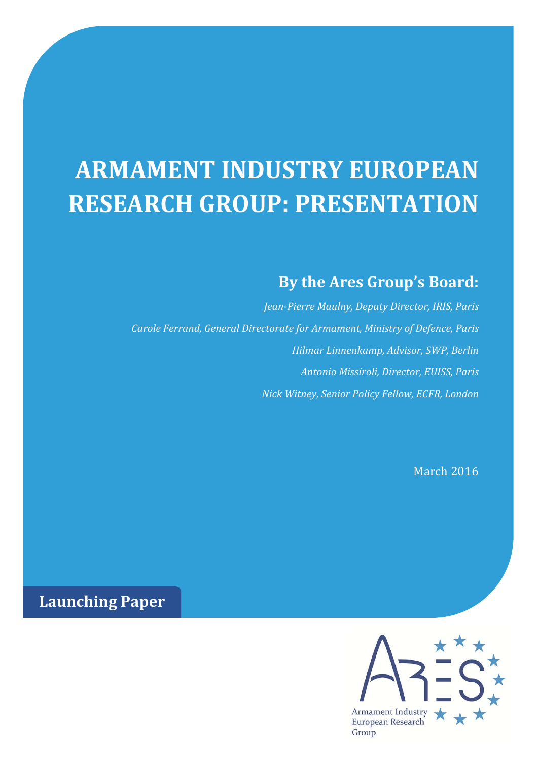## **ARMAMENT INDUSTRY EUROPEAN RESEARCH GROUP: PRESENTATION**

## **By the Ares Group's Board:**

 *Jean‐Pierre Maulny, Deputy Director, IRIS, Paris Carole Ferrand, General Directorate for Armament, Ministry of Defence, Paris Hilmar Linnenkamp, Advisor, SWP, Berlin Antonio Missiroli, Director, EUISS, Paris Nick Witney, Senior Policy Fellow, ECFR, London*

March 2016

**Launching Paper**

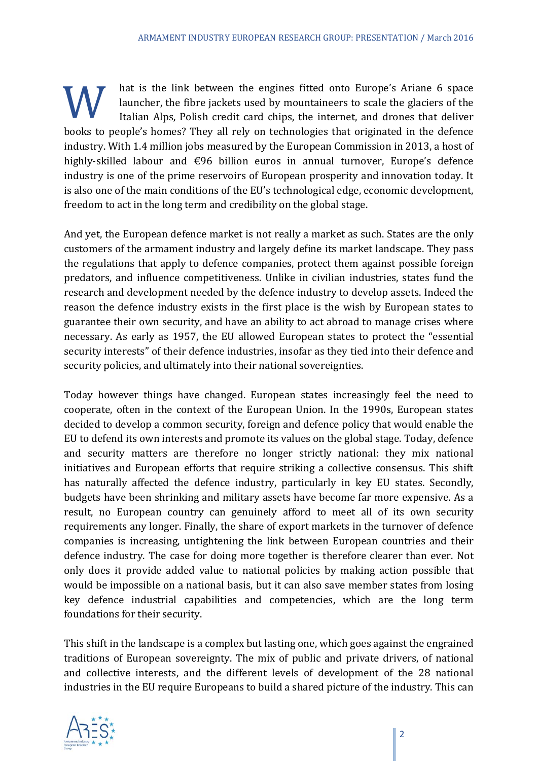hat is the link between the engines fitted onto Europe's Ariane 6 space<br>launcher, the fibre jackets used by mountaineers to scale the glaciers of the<br>Italian Alps, Polish credit card chips, the internet, and drones that de launcher, the fibre jackets used by mountaineers to scale the glaciers of the Italian Alps, Polish credit card chips, the internet, and drones that deliver books to people's homes? They all rely on technologies that originated in the defence industry. With 1.4 million jobs measured by the European Commission in 2013, a host of highly-skilled labour and  $\epsilon$ 96 billion euros in annual turnover, Europe's defence industry is one of the prime reservoirs of European prosperity and innovation today. It is also one of the main conditions of the EU's technological edge, economic development, freedom to act in the long term and credibility on the global stage.

And yet, the European defence market is not really a market as such. States are the only customers of the armament industry and largely define its market landscape. They pass the regulations that apply to defence companies, protect them against possible foreign predators, and influence competitiveness. Unlike in civilian industries, states fund the research and development needed by the defence industry to develop assets. Indeed the reason the defence industry exists in the first place is the wish by European states to guarantee their own security, and have an ability to act abroad to manage crises where necessary. As early as 1957, the EU allowed European states to protect the "essential security interests" of their defence industries, insofar as they tied into their defence and security policies, and ultimately into their national sovereignties.

Today however things have changed. European states increasingly feel the need to cooperate, often in the context of the European Union. In the 1990s, European states decided to develop a common security, foreign and defence policy that would enable the EU to defend its own interests and promote its values on the global stage. Today, defence and security matters are therefore no longer strictly national: they mix national initiatives and European efforts that require striking a collective consensus. This shift has naturally affected the defence industry, particularly in key EU states. Secondly, budgets have been shrinking and military assets have become far more expensive. As a result, no European country can genuinely afford to meet all of its own security requirements any longer. Finally, the share of export markets in the turnover of defence companies is increasing, untightening the link between European countries and their defence industry. The case for doing more together is therefore clearer than ever. Not only does it provide added value to national policies by making action possible that would be impossible on a national basis, but it can also save member states from losing key defence industrial capabilities and competencies, which are the long term foundations for their security.

This shift in the landscape is a complex but lasting one, which goes against the engrained traditions of European sovereignty. The mix of public and private drivers, of national and collective interests, and the different levels of development of the 28 national industries in the EU require Europeans to build a shared picture of the industry. This can

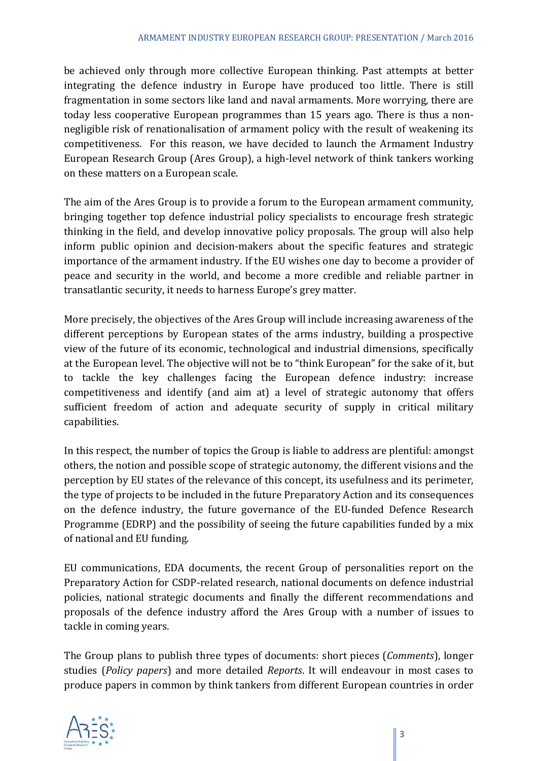be achieved only through more collective European thinking. Past attempts at better integrating the defence industry in Europe have produced too little. There is still fragmentation in some sectors like land and naval armaments. More worrying, there are today less cooperative European programmes than 15 years ago. There is thus a nonnegligible risk of renationalisation of armament policy with the result of weakening its competitiveness. For this reason, we have decided to launch the Armament Industry European Research Group (Ares Group), a high-level network of think tankers working on these matters on a European scale.

The aim of the Ares Group is to provide a forum to the European armament community, bringing together top defence industrial policy specialists to encourage fresh strategic thinking in the field, and develop innovative policy proposals. The group will also help inform public opinion and decision-makers about the specific features and strategic importance of the armament industry. If the EU wishes one day to become a provider of peace and security in the world, and become a more credible and reliable partner in transatlantic security, it needs to harness Europe's grey matter.

More precisely, the objectives of the Ares Group will include increasing awareness of the different perceptions by European states of the arms industry, building a prospective view of the future of its economic, technological and industrial dimensions, specifically at the European level. The objective will not be to "think European" for the sake of it, but to tackle the key challenges facing the European defence industry: increase competitiveness and identify (and aim at) a level of strategic autonomy that offers sufficient freedom of action and adequate security of supply in critical military capabilities. 

In this respect, the number of topics the Group is liable to address are plentiful: amongst others, the notion and possible scope of strategic autonomy, the different visions and the perception by EU states of the relevance of this concept, its usefulness and its perimeter, the type of projects to be included in the future Preparatory Action and its consequences on the defence industry, the future governance of the EU-funded Defence Research Programme (EDRP) and the possibility of seeing the future capabilities funded by a mix of national and EU funding.

EU communications, EDA documents, the recent Group of personalities report on the Preparatory Action for CSDP-related research, national documents on defence industrial policies, national strategic documents and finally the different recommendations and proposals of the defence industry afford the Ares Group with a number of issues to tackle in coming years.

The Group plans to publish three types of documents: short pieces (*Comments*), longer studies (*Policy papers*) and more detailed *Reports*. It will endeavour in most cases to produce papers in common by think tankers from different European countries in order